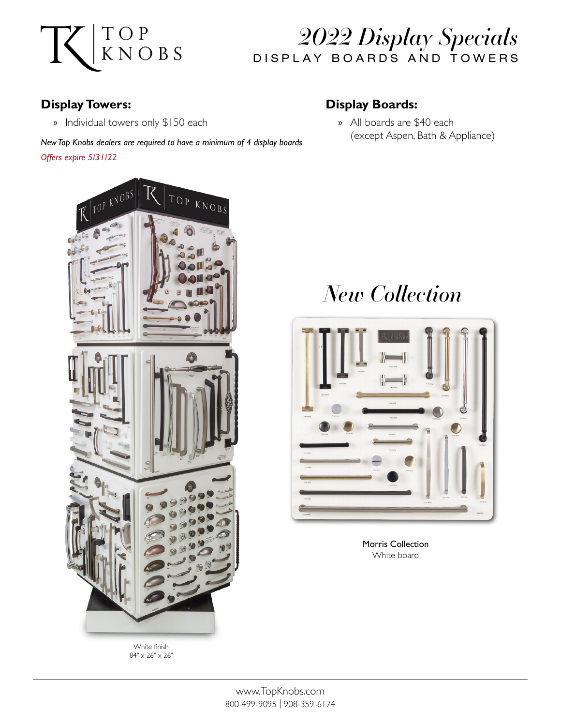

### *2022 Display Specials* DISPLAY BOARDS AND TOWERS

#### **Display Towers:**

» Individual towers only \$150 each

#### **Display Boards:**

» All boards are \$40 each (except Aspen, Bath & Appliance)

*New Top Knobs dealers are required to have a minimum of 4 display boards Offers expire 5/31/22*



White finish  $84" \times 26" \times 26"$ 

# *New Collection*



Morris Collection White board